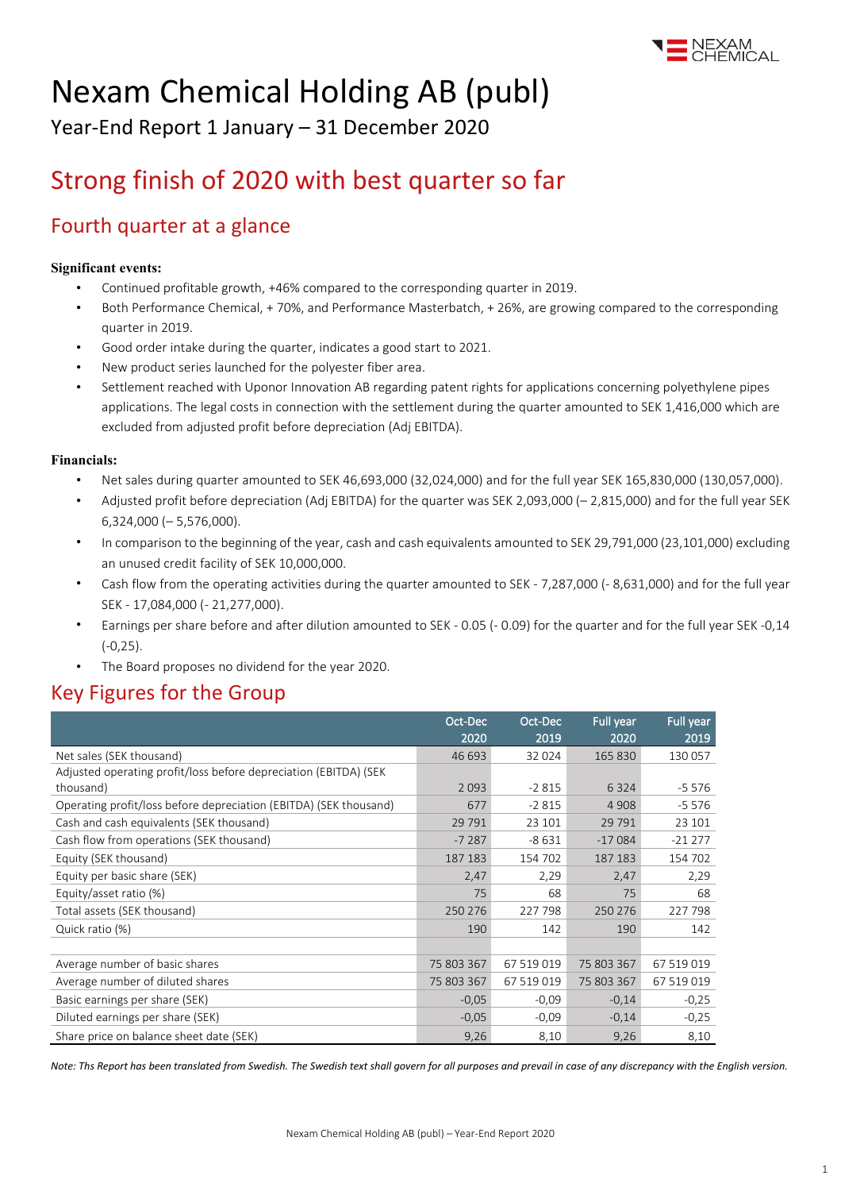

# Nexam Chemical Holding AB (publ)

Year-End Report 1 January – 31 December 2020

# Strong finish of 2020 with best quarter so far

### Fourth quarter at a glance

### **Significant events:**

- Continued profitable growth, +46% compared to the corresponding quarter in 2019.
- Both Performance Chemical, + 70%, and Performance Masterbatch, + 26%, are growing compared to the corresponding quarter in 2019.
- Good order intake during the quarter, indicates a good start to 2021.
- New product series launched for the polyester fiber area.
- Settlement reached with Uponor Innovation AB regarding patent rights for applications concerning polyethylene pipes applications. The legal costs in connection with the settlement during the quarter amounted to SEK 1,416,000 which are excluded from adjusted profit before depreciation (Adj EBITDA).

### **Financials:**

- Net sales during quarter amounted to SEK 46,693,000 (32,024,000) and for the full year SEK 165,830,000 (130,057,000).
- Adjusted profit before depreciation (Adj EBITDA) for the quarter was SEK 2,093,000 (– 2,815,000) and for the full year SEK 6,324,000 (– 5,576,000).
- In comparison to the beginning of the year, cash and cash equivalents amounted to SEK 29,791,000 (23,101,000) excluding an unused credit facility of SEK 10,000,000.
- Cash flow from the operating activities during the quarter amounted to SEK 7,287,000 (- 8,631,000) and for the full year SEK - 17,084,000 (- 21,277,000).
- Earnings per share before and after dilution amounted to SEK 0.05 (- 0.09) for the quarter and for the full year SEK -0,14 (-0,25).
- The Board proposes no dividend for the year 2020.

### Key Figures for the Group

|                                                                   | Oct-Dec<br>2020 | Oct-Dec<br>2019 | Full year<br>2020 | Full year<br>2019 |
|-------------------------------------------------------------------|-----------------|-----------------|-------------------|-------------------|
| Net sales (SEK thousand)                                          | 46 693          | 32 0 24         | 165 830           | 130 057           |
| Adjusted operating profit/loss before depreciation (EBITDA) (SEK  |                 |                 |                   |                   |
| thousand)                                                         | 2093            | $-2815$         | 6 3 2 4           | $-5576$           |
| Operating profit/loss before depreciation (EBITDA) (SEK thousand) | 677             | $-2815$         | 4 9 0 8           | $-5576$           |
| Cash and cash equivalents (SEK thousand)                          | 29 7 9 1        | 23 101          | 29 7 9 1          | 23 101            |
| Cash flow from operations (SEK thousand)                          | $-7287$         | $-8631$         | $-17084$          | $-21277$          |
| Equity (SEK thousand)                                             | 187 183         | 154 702         | 187 183           | 154 702           |
| Equity per basic share (SEK)                                      | 2,47            | 2,29            | 2,47              | 2,29              |
| Equity/asset ratio (%)                                            | 75              | 68              | 75                | 68                |
| Total assets (SEK thousand)                                       | 250 276         | 227 798         | 250 276           | 227 798           |
| Quick ratio (%)                                                   | 190             | 142             | 190               | 142               |
|                                                                   |                 |                 |                   |                   |
| Average number of basic shares                                    | 75 803 367      | 67 519 019      | 75 803 367        | 67 519 019        |
| Average number of diluted shares                                  | 75 803 367      | 67 519 019      | 75 803 367        | 67 519 019        |
| Basic earnings per share (SEK)                                    | $-0,05$         | $-0.09$         | $-0,14$           | $-0,25$           |
| Diluted earnings per share (SEK)                                  | $-0,05$         | $-0.09$         | $-0,14$           | $-0,25$           |
| Share price on balance sheet date (SEK)                           | 9,26            | 8,10            | 9,26              | 8,10              |

*Note: Ths Report has been translated from Swedish. The Swedish text shall govern for all purposes and prevail in case of any discrepancy with the English version.*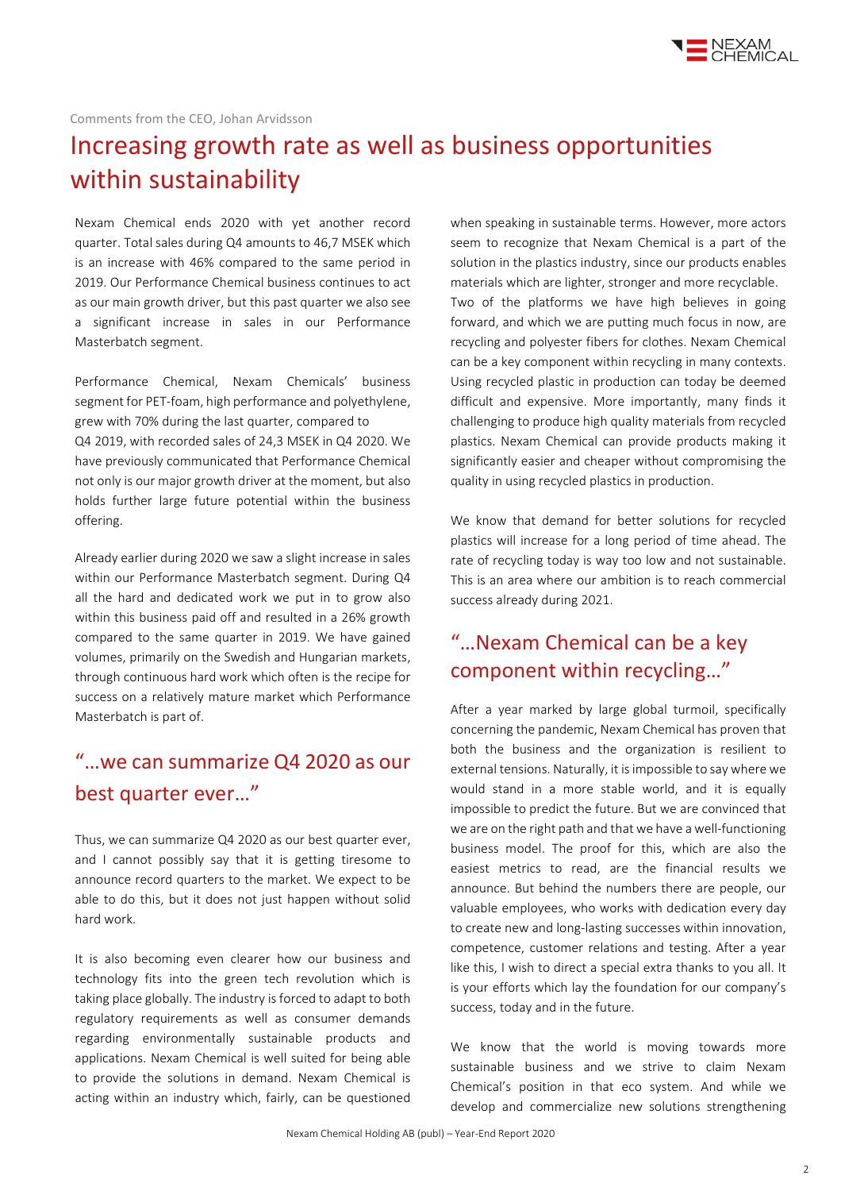

### Comments from the CEO, Johan Arvidsson

## Increasing growth rate as well as business opportunities within sustainability

Nexam Chemical ends 2020 with yet another record quarter. Total sales during Q4 amounts to 46,7 MSEK which is an increase with 46% compared to the same period in 2019. Our Performance Chemical business continues to act as our main growth driver, but this past quarter we also see a significant increase in sales in our Performance Masterbatch segment.

Performance Chemical, Nexam Chemicals' business segment for PET-foam, high performance and polyethylene, grew with 70% during the last quarter, compared to Q4 2019, with recorded sales of 24,3 MSEK in Q4 2020. We have previously communicated that Performance Chemical not only is our major growth driver at the moment, but also holds further large future potential within the business offering.

Already earlier during 2020 we saw a slight increase in sales within our Performance Masterbatch segment. During Q4 all the hard and dedicated work we put in to grow also within this business paid off and resulted in a 26% growth compared to the same quarter in 2019. We have gained volumes, primarily on the Swedish and Hungarian markets, through continuous hard work which often is the recipe for success on a relatively mature market which Performance Masterbatch is part of.

### "…we can summarize Q4 2020 as our best quarter ever…"

Thus, we can summarize Q4 2020 as our best quarter ever, and I cannot possibly say that it is getting tiresome to announce record quarters to the market. We expect to be able to do this, but it does not just happen without solid hard work.

It is also becoming even clearer how our business and technology fits into the green tech revolution which is taking place globally. The industry is forced to adapt to both regulatory requirements as well as consumer demands regarding environmentally sustainable products and applications. Nexam Chemical is well suited for being able to provide the solutions in demand. Nexam Chemical is acting within an industry which, fairly, can be questioned when speaking in sustainable terms. However, more actors seem to recognize that Nexam Chemical is a part of the solution in the plastics industry, since our products enables materials which are lighter, stronger and more recyclable. Two of the platforms we have high believes in going forward, and which we are putting much focus in now, are recycling and polyester fibers for clothes. Nexam Chemical can be a key component within recycling in many contexts. Using recycled plastic in production can today be deemed difficult and expensive. More importantly, many finds it challenging to produce high quality materials from recycled plastics. Nexam Chemical can provide products making it significantly easier and cheaper without compromising the quality in using recycled plastics in production.

We know that demand for better solutions for recycled plastics will increase for a long period of time ahead. The rate of recycling today is way too low and not sustainable. This is an area where our ambition is to reach commercial success already during 2021.

### "…Nexam Chemical can be a key component within recycling…"

After a year marked by large global turmoil, specifically concerning the pandemic, Nexam Chemical has proven that both the business and the organization is resilient to external tensions. Naturally, it is impossible to say where we would stand in a more stable world, and it is equally impossible to predict the future. But we are convinced that we are on the right path and that we have a well-functioning business model. The proof for this, which are also the easiest metrics to read, are the financial results we announce. But behind the numbers there are people, our valuable employees, who works with dedication every day to create new and long-lasting successes within innovation, competence, customer relations and testing. After a year like this, I wish to direct a special extra thanks to you all. It is your efforts which lay the foundation for our company's success, today and in the future.

We know that the world is moving towards more sustainable business and we strive to claim Nexam Chemical's position in that eco system. And while we develop and commercialize new solutions strengthening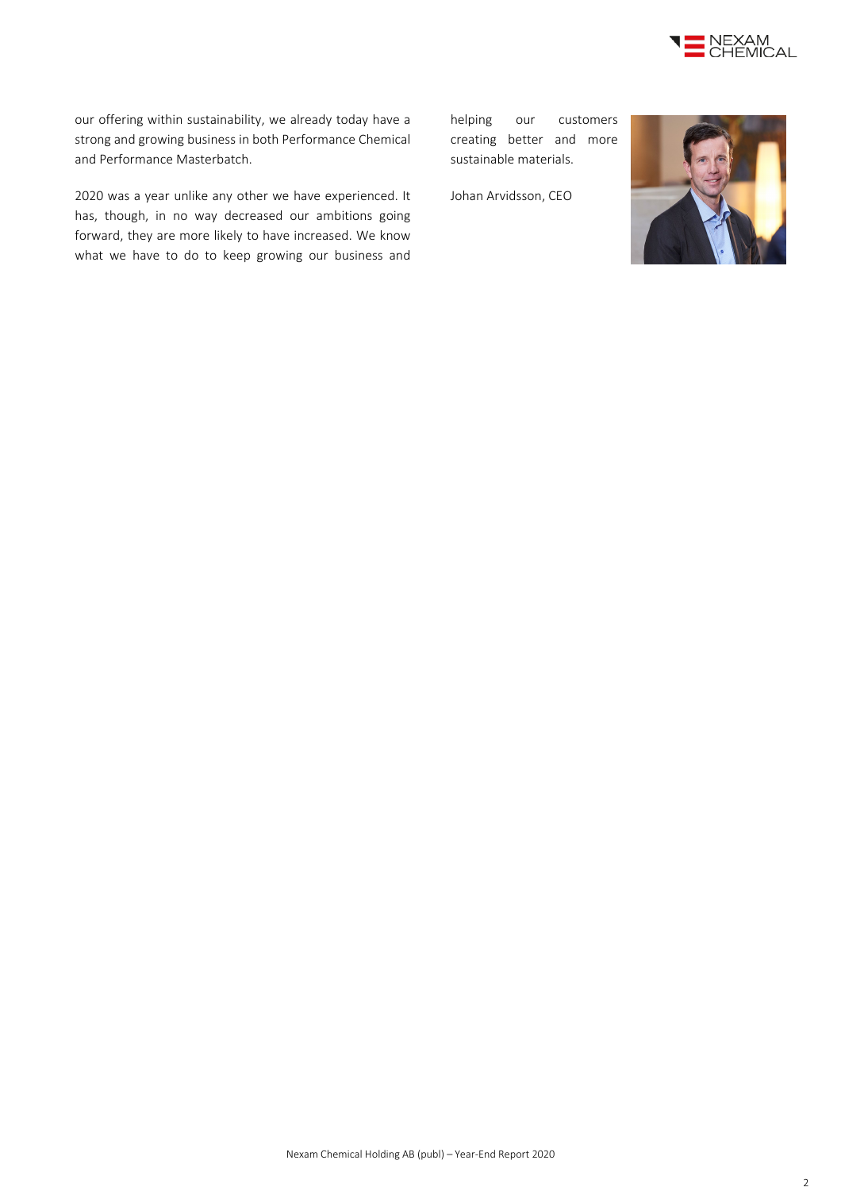

our offering within sustainability, we already today have a strong and growing business in both Performance Chemical and Performance Masterbatch.

2020 was a year unlike any other we have experienced. It has, though, in no way decreased our ambitions going forward, they are more likely to have increased. We know what we have to do to keep growing our business and

helping our customers creating better and more sustainable materials.

Johan Arvidsson, CEO

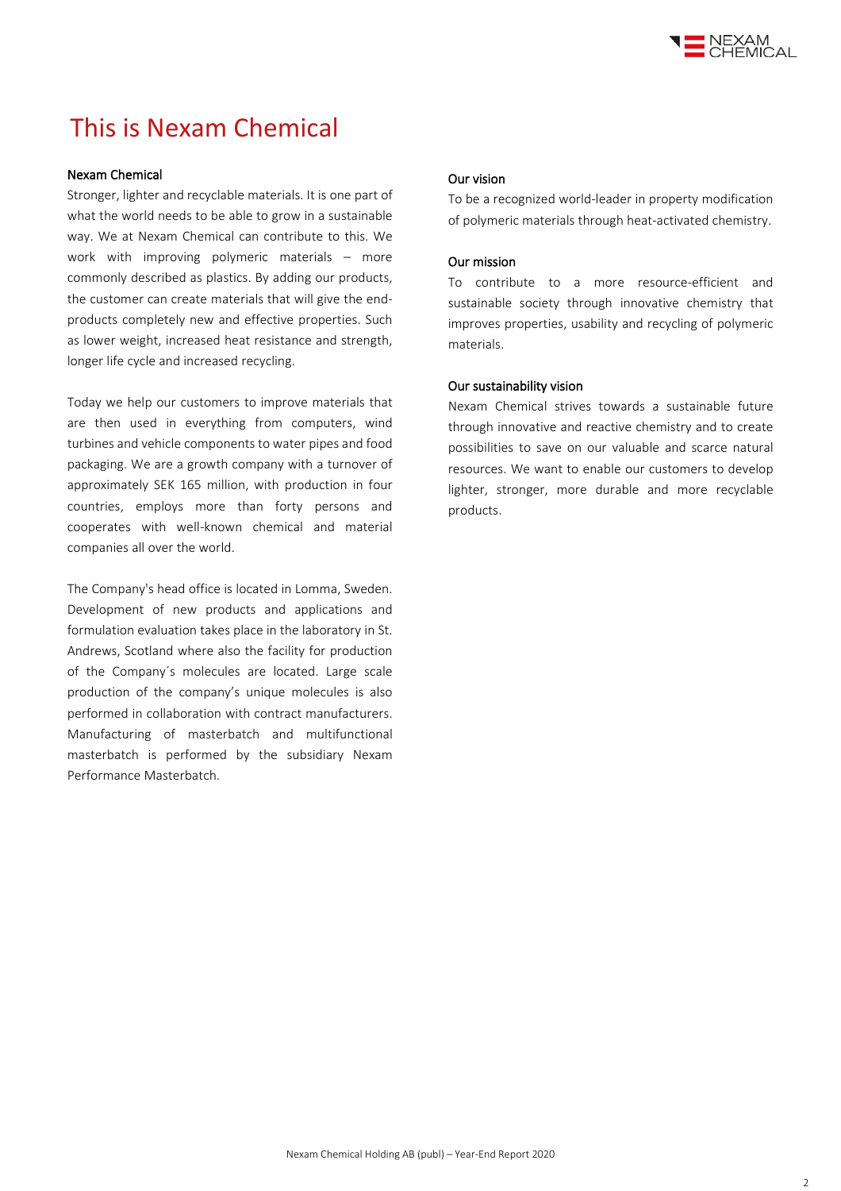

## This is Nexam Chemical

### Nexam Chemical

Stronger, lighter and recyclable materials. It is one part of what the world needs to be able to grow in a sustainable way. We at Nexam Chemical can contribute to this. We work with improving polymeric materials – more commonly described as plastics. By adding our products, the customer can create materials that will give the endproducts completely new and effective properties. Such as lower weight, increased heat resistance and strength, longer life cycle and increased recycling.

Today we help our customers to improve materials that are then used in everything from computers, wind turbines and vehicle components to water pipes and food packaging. We are a growth company with a turnover of approximately SEK 165 million, with production in four countries, employs more than forty persons and cooperates with well-known chemical and material companies all over the world.

The Company's head office is located in Lomma, Sweden. Development of new products and applications and formulation evaluation takes place in the laboratory in St. Andrews, Scotland where also the facility for production of the Company´s molecules are located. Large scale production of the company's unique molecules is also performed in collaboration with contract manufacturers. Manufacturing of masterbatch and multifunctional masterbatch is performed by the subsidiary Nexam Performance Masterbatch.

### Our vision

To be a recognized world-leader in property modification of polymeric materials through heat-activated chemistry.

#### Our mission

To contribute to a more resource-efficient and sustainable society through innovative chemistry that improves properties, usability and recycling of polymeric materials.

### Our sustainability vision

Nexam Chemical strives towards a sustainable future through innovative and reactive chemistry and to create possibilities to save on our valuable and scarce natural resources. We want to enable our customers to develop lighter, stronger, more durable and more recyclable products.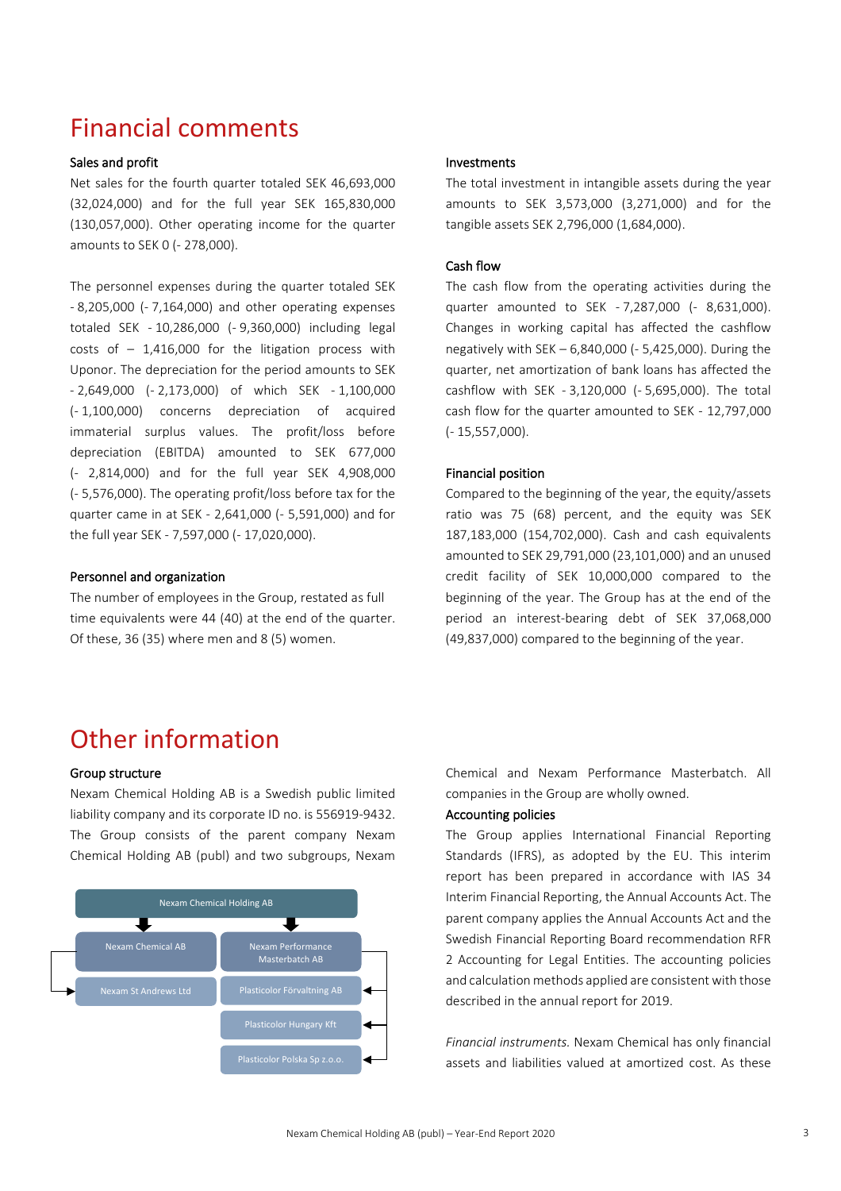## Financial comments

### Sales and profit

Net sales for the fourth quarter totaled SEK 46,693,000 (32,024,000) and for the full year SEK 165,830,000 (130,057,000). Other operating income for the quarter amounts to SEK 0 (- 278,000).

The personnel expenses during the quarter totaled SEK - 8,205,000 (- 7,164,000) and other operating expenses totaled SEK - 10,286,000 (- 9,360,000) including legal costs of  $-1,416,000$  for the litigation process with Uponor. The depreciation for the period amounts to SEK - 2,649,000 (- 2,173,000) of which SEK - 1,100,000 (- 1,100,000) concerns depreciation of acquired immaterial surplus values. The profit/loss before depreciation (EBITDA) amounted to SEK 677,000 (- 2,814,000) and for the full year SEK 4,908,000 (- 5,576,000). The operating profit/loss before tax for the quarter came in at SEK - 2,641,000 (- 5,591,000) and for the full year SEK - 7,597,000 (- 17,020,000).

### Personnel and organization

The number of employees in the Group, restated as full time equivalents were 44 (40) at the end of the quarter. Of these, 36 (35) where men and 8 (5) women.

### Investments

The total investment in intangible assets during the year amounts to SEK 3,573,000 (3,271,000) and for the tangible assets SEK 2,796,000 (1,684,000).

#### Cash flow

The cash flow from the operating activities during the quarter amounted to SEK - 7,287,000 (- 8,631,000). Changes in working capital has affected the cashflow negatively with SEK – 6,840,000 (- 5,425,000). During the quarter, net amortization of bank loans has affected the cashflow with SEK - 3,120,000 (- 5,695,000). The total cash flow for the quarter amounted to SEK - 12,797,000 (- 15,557,000).

### Financial position

Compared to the beginning of the year, the equity/assets ratio was 75 (68) percent, and the equity was SEK 187,183,000 (154,702,000). Cash and cash equivalents amounted to SEK 29,791,000 (23,101,000) and an unused credit facility of SEK 10,000,000 compared to the beginning of the year. The Group has at the end of the period an interest-bearing debt of SEK 37,068,000 (49,837,000) compared to the beginning of the year.

## Other information

#### Group structure

Nexam Chemical Holding AB is a Swedish public limited liability company and its corporate ID no. is 556919-9432. The Group consists of the parent company Nexam Chemical Holding AB (publ) and two subgroups, Nexam



Chemical and Nexam Performance Masterbatch. All companies in the Group are wholly owned.

### Accounting policies

The Group applies International Financial Reporting Standards (IFRS), as adopted by the EU. This interim report has been prepared in accordance with IAS 34 Interim Financial Reporting, the Annual Accounts Act. The parent company applies the Annual Accounts Act and the Swedish Financial Reporting Board recommendation RFR 2 Accounting for Legal Entities. The accounting policies and calculation methods applied are consistent with those described in the annual report for 2019.

*Financial instruments.* Nexam Chemical has only financial assets and liabilities valued at amortized cost. As these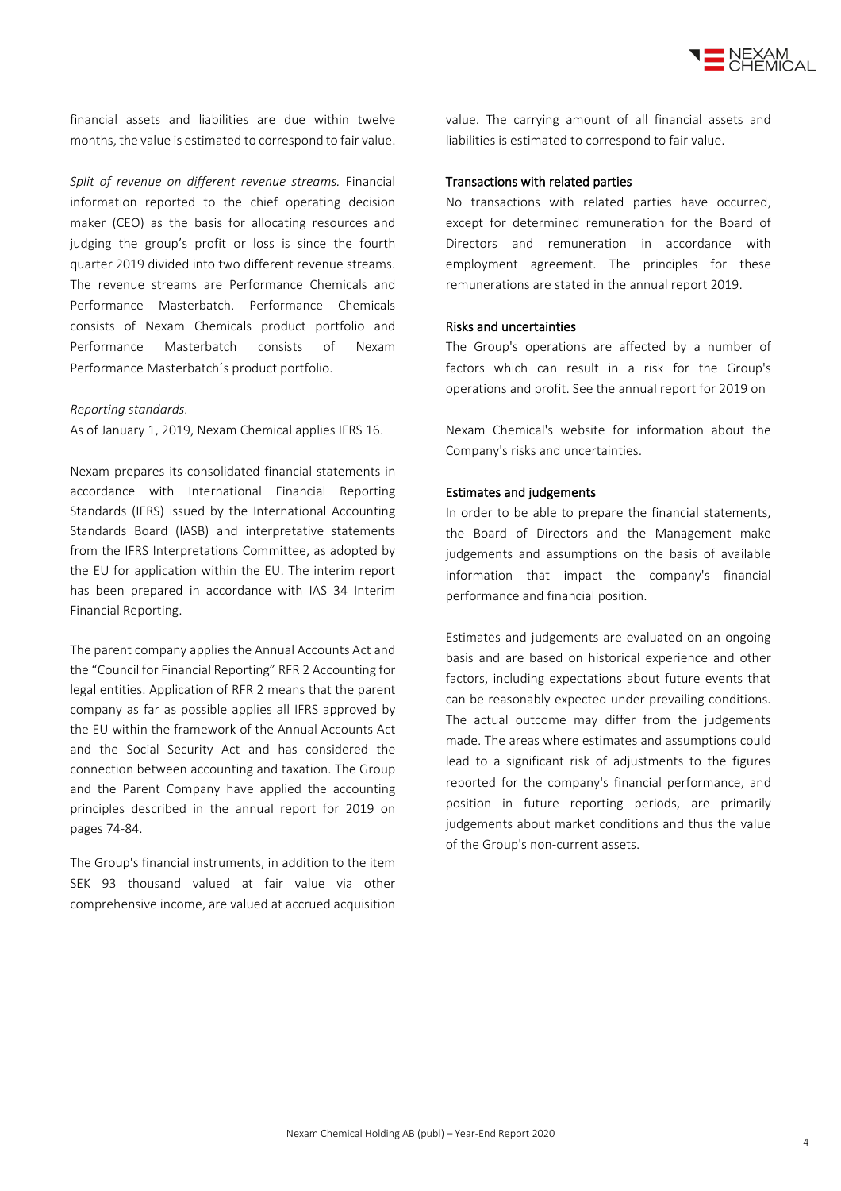

financial assets and liabilities are due within twelve months, the value is estimated to correspond to fair value.

*Split of revenue on different revenue streams.* Financial information reported to the chief operating decision maker (CEO) as the basis for allocating resources and judging the group's profit or loss is since the fourth quarter 2019 divided into two different revenue streams. The revenue streams are Performance Chemicals and Performance Masterbatch. Performance Chemicals consists of Nexam Chemicals product portfolio and Performance Masterbatch consists of Nexam Performance Masterbatch´s product portfolio.

#### *Reporting standards.*

As of January 1, 2019, Nexam Chemical applies IFRS 16.

Nexam prepares its consolidated financial statements in accordance with International Financial Reporting Standards (IFRS) issued by the International Accounting Standards Board (IASB) and interpretative statements from the IFRS Interpretations Committee, as adopted by the EU for application within the EU. The interim report has been prepared in accordance with IAS 34 Interim Financial Reporting.

The parent company applies the Annual Accounts Act and the "Council for Financial Reporting" RFR 2 Accounting for legal entities. Application of RFR 2 means that the parent company as far as possible applies all IFRS approved by the EU within the framework of the Annual Accounts Act and the Social Security Act and has considered the connection between accounting and taxation. The Group and the Parent Company have applied the accounting principles described in the annual report for 2019 on pages 74-84.

The Group's financial instruments, in addition to the item SEK 93 thousand valued at fair value via other comprehensive income, are valued at accrued acquisition value. The carrying amount of all financial assets and liabilities is estimated to correspond to fair value.

#### Transactions with related parties

No transactions with related parties have occurred, except for determined remuneration for the Board of Directors and remuneration in accordance with employment agreement. The principles for these remunerations are stated in the annual report 2019.

### Risks and uncertainties

The Group's operations are affected by a number of factors which can result in a risk for the Group's operations and profit. See the annual report for 2019 on

Nexam Chemical's website for information about the Company's risks and uncertainties.

### Estimates and judgements

In order to be able to prepare the financial statements, the Board of Directors and the Management make judgements and assumptions on the basis of available information that impact the company's financial performance and financial position.

Estimates and judgements are evaluated on an ongoing basis and are based on historical experience and other factors, including expectations about future events that can be reasonably expected under prevailing conditions. The actual outcome may differ from the judgements made. The areas where estimates and assumptions could lead to a significant risk of adjustments to the figures reported for the company's financial performance, and position in future reporting periods, are primarily judgements about market conditions and thus the value of the Group's non-current assets.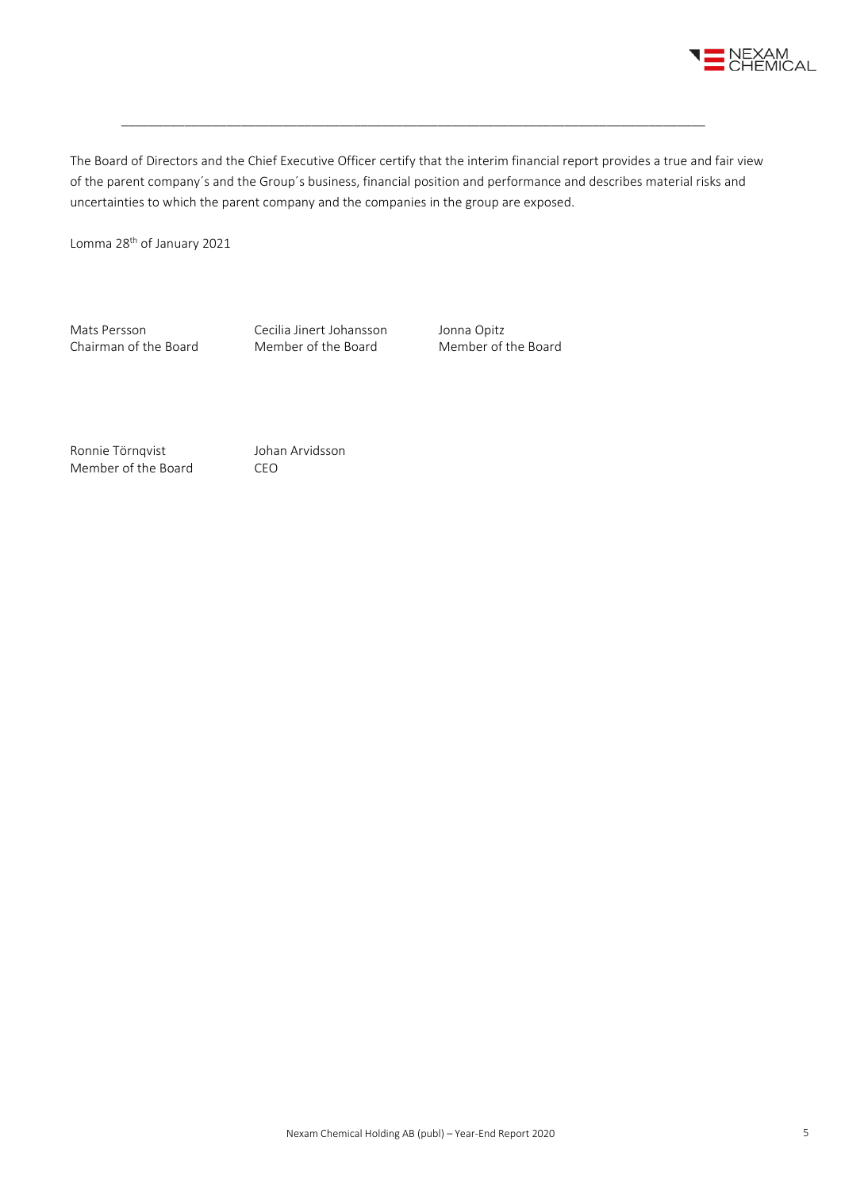

The Board of Directors and the Chief Executive Officer certify that the interim financial report provides a true and fair view of the parent company´s and the Group´s business, financial position and performance and describes material risks and uncertainties to which the parent company and the companies in the group are exposed.

\_\_\_\_\_\_\_\_\_\_\_\_\_\_\_\_\_\_\_\_\_\_\_\_\_\_\_\_\_\_\_\_\_\_\_\_\_\_\_\_\_\_\_\_\_\_\_\_\_\_\_\_\_\_\_\_\_\_\_\_\_\_\_\_\_\_\_\_\_\_\_\_\_\_\_\_\_\_\_\_\_\_\_

Lomma 28<sup>th</sup> of January 2021

Mats Persson Cecilia Jinert Johansson Jonna Opitz<br>
Chairman of the Board Member of the Board Member of the Board Chairman of the Board

Ronnie Törnqvist Johan Arvidsson Member of the Board CEO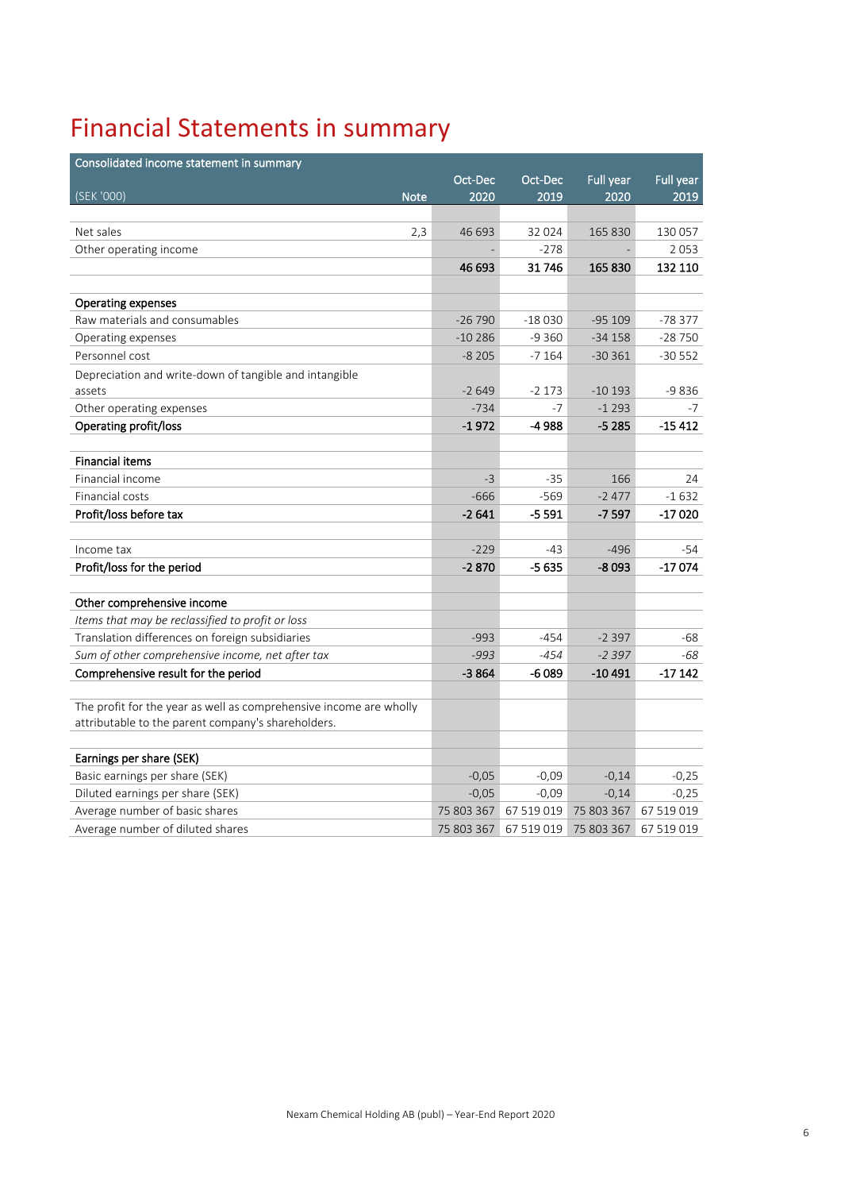# Financial Statements in summary

| Consolidated income statement in summary                           |            |            |                  |            |
|--------------------------------------------------------------------|------------|------------|------------------|------------|
|                                                                    | Oct-Dec    | Oct-Dec    | <b>Full year</b> | Full year  |
| (SEK '000)<br><b>Note</b>                                          | 2020       | 2019       | 2020             | 2019       |
|                                                                    |            |            |                  |            |
| Net sales<br>2,3                                                   | 46 693     | 32 0 24    | 165 830          | 130 057    |
| Other operating income                                             |            | $-278$     |                  | 2053       |
|                                                                    | 46 693     | 31746      | 165 830          | 132 110    |
|                                                                    |            |            |                  |            |
| <b>Operating expenses</b>                                          |            |            |                  |            |
| Raw materials and consumables                                      | $-26790$   | $-18030$   | $-95109$         | $-78377$   |
| Operating expenses                                                 | $-10286$   | $-9360$    | $-34158$         | $-28750$   |
| Personnel cost                                                     | $-8205$    | $-7164$    | $-30361$         | $-30552$   |
| Depreciation and write-down of tangible and intangible             |            |            |                  |            |
| assets                                                             | $-2649$    | $-2173$    | $-10193$         | $-9836$    |
| Other operating expenses                                           | $-734$     | $-7$       | $-1293$          | -7         |
| Operating profit/loss                                              | $-1972$    | -4 988     | $-5285$          | $-15412$   |
|                                                                    |            |            |                  |            |
| <b>Financial items</b>                                             |            |            |                  |            |
| Financial income                                                   | $-3$       | $-35$      | 166              | 24         |
| Financial costs                                                    | $-666$     | $-569$     | $-2477$          | $-1632$    |
| Profit/loss before tax                                             | $-2641$    | $-5591$    | $-7597$          | $-17020$   |
|                                                                    |            |            |                  |            |
| Income tax                                                         | $-229$     | $-43$      | $-496$           | $-54$      |
| Profit/loss for the period                                         | $-2870$    | $-5635$    | $-8093$          | $-17074$   |
|                                                                    |            |            |                  |            |
| Other comprehensive income                                         |            |            |                  |            |
| Items that may be reclassified to profit or loss                   |            |            |                  |            |
| Translation differences on foreign subsidiaries                    | $-993$     | -454       | $-2397$          | -68        |
| Sum of other comprehensive income, net after tax                   | $-993$     | $-454$     | $-2397$          | -68        |
| Comprehensive result for the period                                | $-3864$    | -6 089     | -10 491          | $-17142$   |
|                                                                    |            |            |                  |            |
| The profit for the year as well as comprehensive income are wholly |            |            |                  |            |
| attributable to the parent company's shareholders.                 |            |            |                  |            |
|                                                                    |            |            |                  |            |
| Earnings per share (SEK)                                           |            |            |                  |            |
| Basic earnings per share (SEK)                                     | $-0,05$    | $-0,09$    | $-0,14$          | $-0,25$    |
| Diluted earnings per share (SEK)                                   | $-0,05$    | $-0,09$    | $-0,14$          | $-0,25$    |
| Average number of basic shares                                     | 75 803 367 | 67 519 019 | 75 803 367       | 67 519 019 |
| Average number of diluted shares                                   | 75 803 367 | 67 519 019 | 75 803 367       | 67 519 019 |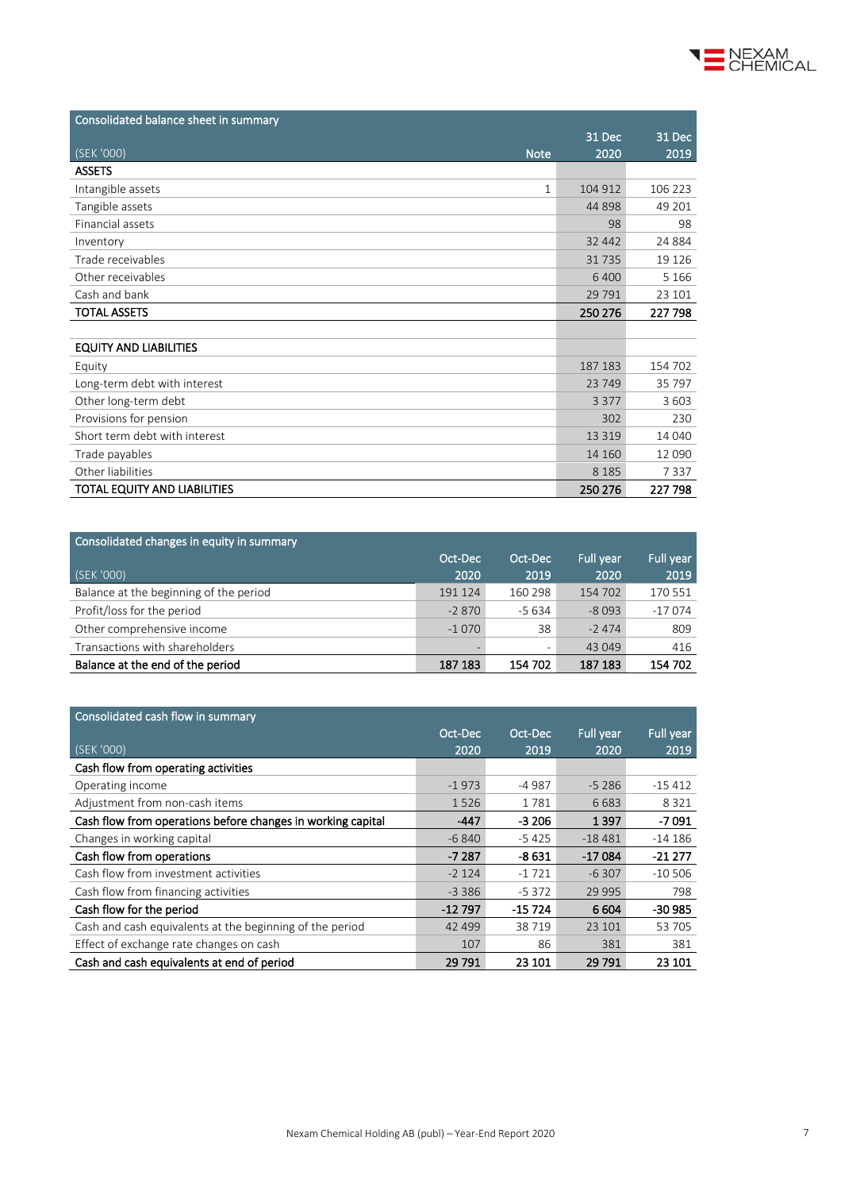

| Consolidated balance sheet in summary |                         |          |
|---------------------------------------|-------------------------|----------|
|                                       | 31 Dec                  | 31 Dec   |
| (SEK '000)<br><b>Note</b>             | 2020                    | 2019     |
| <b>ASSETS</b>                         |                         |          |
| Intangible assets                     | 104 912<br>$\mathbf{1}$ | 106 223  |
| Tangible assets                       | 44 8 98                 | 49 201   |
| Financial assets                      | 98                      | 98       |
| Inventory                             | 32 442                  | 24 8 84  |
| Trade receivables                     | 31735                   | 19 1 26  |
| Other receivables                     | 6 4 0 0                 | 5 1 6 6  |
| Cash and bank                         | 29 7 9 1                | 23 101   |
| <b>TOTAL ASSETS</b>                   | 250 276                 | 227 798  |
|                                       |                         |          |
| <b>EQUITY AND LIABILITIES</b>         |                         |          |
| Equity                                | 187 183                 | 154 702  |
| Long-term debt with interest          | 23749                   | 35 797   |
| Other long-term debt                  | 3 3 7 7                 | 3 6 0 3  |
| Provisions for pension                | 302                     | 230      |
| Short term debt with interest         | 13 3 19                 | 14 040   |
| Trade payables                        | 14 160                  | 12 0 9 0 |
| Other liabilities                     | 8 1 8 5                 | 7337     |
| TOTAL EQUITY AND LIABILITIES          | 250 276                 | 227 798  |

| Consolidated changes in equity in summary |         |         |           |           |
|-------------------------------------------|---------|---------|-----------|-----------|
|                                           | Oct-Dec | Oct-Dec | Full year | Full year |
| (SEK '000)                                | 2020    | 2019    | 2020      | 2019      |
| Balance at the beginning of the period    | 191 124 | 160 298 | 154 702   | 170 551   |
| Profit/loss for the period                | $-2870$ | $-5634$ | $-8093$   | $-17074$  |
| Other comprehensive income                | $-1070$ | 38      | $-2474$   | 809       |
| Transactions with shareholders            |         |         | 43 049    | 416       |
| Balance at the end of the period          | 187 183 | 154 702 | 187 183   | 154 702   |

| Consolidated cash flow in summary                           |          |          |           |           |
|-------------------------------------------------------------|----------|----------|-----------|-----------|
|                                                             | Oct-Dec  | Oct-Dec  | Full year | Full year |
| (SEK '000)                                                  | 2020     | 2019     | 2020      | 2019      |
| Cash flow from operating activities                         |          |          |           |           |
| Operating income                                            | $-1973$  | -4 987   | $-5286$   | -15 412   |
| Adjustment from non-cash items                              | 1526     | 1781     | 6683      | 8 3 2 1   |
| Cash flow from operations before changes in working capital | -447     | $-3206$  | 1397      | $-7091$   |
| Changes in working capital                                  | $-6840$  | $-5425$  | $-18481$  | $-14186$  |
| Cash flow from operations                                   | $-7287$  | $-8631$  | $-17084$  | $-21277$  |
| Cash flow from investment activities                        | $-2124$  | $-1721$  | $-6307$   | $-10,506$ |
| Cash flow from financing activities                         | $-3386$  | $-5372$  | 29 995    | 798       |
| Cash flow for the period                                    | $-12797$ | $-15724$ | 6 6 0 4   | $-30985$  |
| Cash and cash equivalents at the beginning of the period    | 42 499   | 38719    | 23 101    | 53 705    |
| Effect of exchange rate changes on cash                     | 107      | 86       | 381       | 381       |
| Cash and cash equivalents at end of period                  | 29 791   | 23 101   | 29 791    | 23 101    |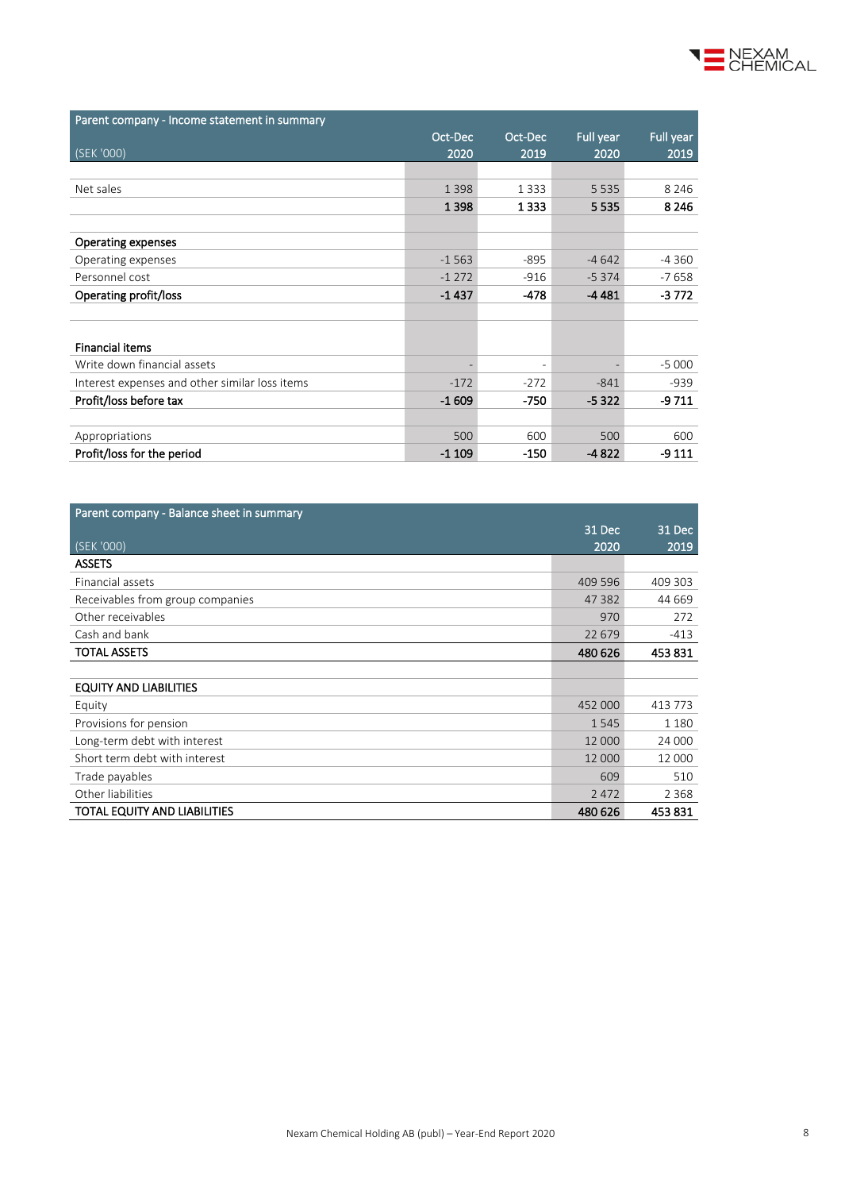

| Parent company - Income statement in summary   |         |                          |           |           |
|------------------------------------------------|---------|--------------------------|-----------|-----------|
|                                                | Oct-Dec | Oct-Dec                  | Full year | Full year |
| (SEK '000)                                     | 2020    | 2019                     | 2020      | 2019      |
|                                                |         |                          |           |           |
| Net sales                                      | 1 3 9 8 | 1 3 3 3                  | 5 5 3 5   | 8 2 4 6   |
|                                                | 1 3 9 8 | 1 3 3 3                  | 5535      | 8 2 4 6   |
|                                                |         |                          |           |           |
| Operating expenses                             |         |                          |           |           |
| Operating expenses                             | $-1563$ | $-895$                   | $-4642$   | $-4360$   |
| Personnel cost                                 | $-1272$ | $-916$                   | $-5374$   | $-7658$   |
| Operating profit/loss                          | $-1437$ | $-478$                   | $-4481$   | $-3772$   |
|                                                |         |                          |           |           |
|                                                |         |                          |           |           |
| <b>Financial items</b>                         |         |                          |           |           |
| Write down financial assets                    |         | $\overline{\phantom{a}}$ |           | $-5000$   |
| Interest expenses and other similar loss items | $-172$  | $-272$                   | $-841$    | $-939$    |
| Profit/loss before tax                         | $-1609$ | $-750$                   | $-5322$   | $-9711$   |
|                                                |         |                          |           |           |
| Appropriations                                 | 500     | 600                      | 500       | 600       |
| Profit/loss for the period                     | $-1109$ | $-150$                   | $-4822$   | $-9111$   |

| Parent company - Balance sheet in summary |         |         |
|-------------------------------------------|---------|---------|
|                                           | 31 Dec  | 31 Dec  |
| (SEK'000)                                 | 2020    | 2019    |
| <b>ASSETS</b>                             |         |         |
| Financial assets                          | 409 596 | 409 303 |
| Receivables from group companies          | 47 382  | 44 669  |
| Other receivables                         | 970     | 272     |
| Cash and bank                             | 22 679  | $-413$  |
| <b>TOTAL ASSETS</b>                       | 480 626 | 453831  |
|                                           |         |         |
| <b>EQUITY AND LIABILITIES</b>             |         |         |
| Equity                                    | 452 000 | 413 773 |
| Provisions for pension                    | 1545    | 1 1 8 0 |
| Long-term debt with interest              | 12 000  | 24 000  |
| Short term debt with interest             | 12 000  | 12 000  |
| Trade payables                            | 609     | 510     |
| Other liabilities                         | 2 4 7 2 | 2 3 6 8 |
| TOTAL EQUITY AND LIABILITIES              | 480 626 | 453831  |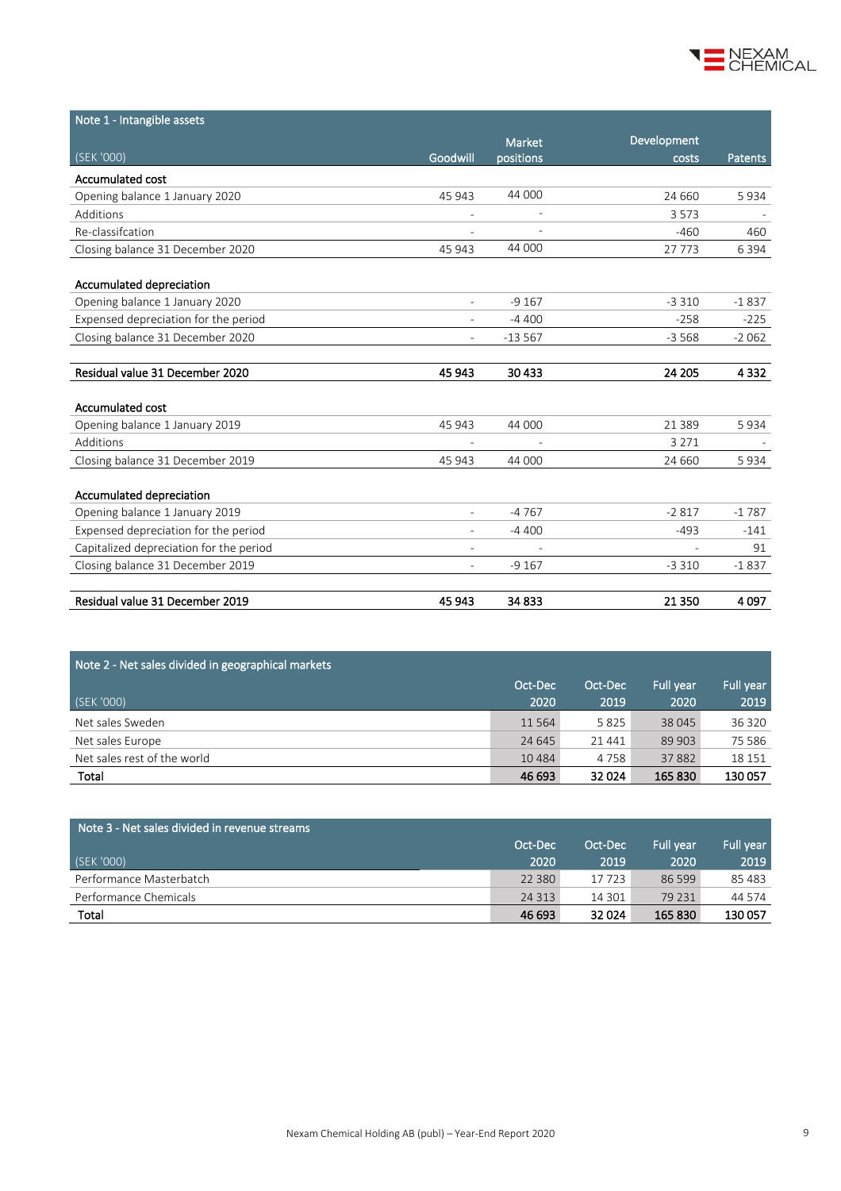

| Note 1 - Intangible assets              |                          |                          |             |         |
|-----------------------------------------|--------------------------|--------------------------|-------------|---------|
|                                         |                          | <b>Market</b>            | Development |         |
| (SEK '000)                              | Goodwill                 | positions                | costs       | Patents |
| Accumulated cost                        |                          |                          |             |         |
| Opening balance 1 January 2020          | 45 943                   | 44 000                   | 24 660      | 5934    |
| Additions                               |                          | $\overline{\phantom{a}}$ | 3573        |         |
| Re-classifcation                        |                          |                          | $-460$      | 460     |
| Closing balance 31 December 2020        | 45 943                   | 44 000                   | 27773       | 6 3 9 4 |
|                                         |                          |                          |             |         |
| Accumulated depreciation                |                          |                          |             |         |
| Opening balance 1 January 2020          | $\overline{\phantom{0}}$ | $-9167$                  | $-3310$     | $-1837$ |
| Expensed depreciation for the period    |                          | $-4400$                  | $-258$      | $-225$  |
| Closing balance 31 December 2020        |                          | $-13567$                 | $-3568$     | $-2062$ |
|                                         |                          |                          |             |         |
| Residual value 31 December 2020         | 45 943                   | 30 4 33                  | 24 205      | 4 3 3 2 |
|                                         |                          |                          |             |         |
| <b>Accumulated cost</b>                 |                          |                          |             |         |
| Opening balance 1 January 2019          | 45 943                   | 44 000                   | 21 3 8 9    | 5934    |
| Additions                               |                          |                          | 3 2 7 1     |         |
| Closing balance 31 December 2019        | 45 943                   | 44 000                   | 24 660      | 5934    |
|                                         |                          |                          |             |         |
| Accumulated depreciation                |                          |                          |             |         |
| Opening balance 1 January 2019          | ٠                        | $-4767$                  | $-2817$     | $-1787$ |
| Expensed depreciation for the period    |                          | $-4400$                  | $-493$      | $-141$  |
| Capitalized depreciation for the period |                          |                          |             | 91      |
| Closing balance 31 December 2019        |                          | $-9167$                  | $-3310$     | $-1837$ |
|                                         |                          |                          |             |         |
| Residual value 31 December 2019         | 45 943                   | 34 833                   | 21 3 50     | 4097    |

| Note 2 - Net sales divided in geographical markets |          |         |                  |           |
|----------------------------------------------------|----------|---------|------------------|-----------|
|                                                    | Oct-Dec  | Oct-Dec | <b>Full vear</b> | Full year |
| (SEK '000)                                         | 2020     | 2019    | 2020             | 2019      |
| Net sales Sweden                                   | 11 5 6 4 | 5825    | 38 045           | 36 320    |
| Net sales Europe                                   | 24 645   | 21441   | 89 903           | 75 586    |
| Net sales rest of the world                        | 10 4 8 4 | 4 7 5 8 | 37882            | 18 15 1   |
| Total                                              | 46 693   | 32 0 24 | 165 830          | 130 057   |

| Note 3 - Net sales divided in revenue streams, |          |         |                  |           |
|------------------------------------------------|----------|---------|------------------|-----------|
|                                                | Oct-Dec  | Oct-Dec | <b>Full vear</b> | Full year |
| (SEK '000)                                     | 2020     | 2019    | 2020             | 2019      |
| Performance Masterbatch                        | 22 3 8 0 | 17723   | 86 599           | 85 483    |
| Performance Chemicals                          | 24 3 13  | 14 301  | 79 2 31          | 44 574    |
| Total                                          | 46 693   | 32 0 24 | 165 830          | 130057    |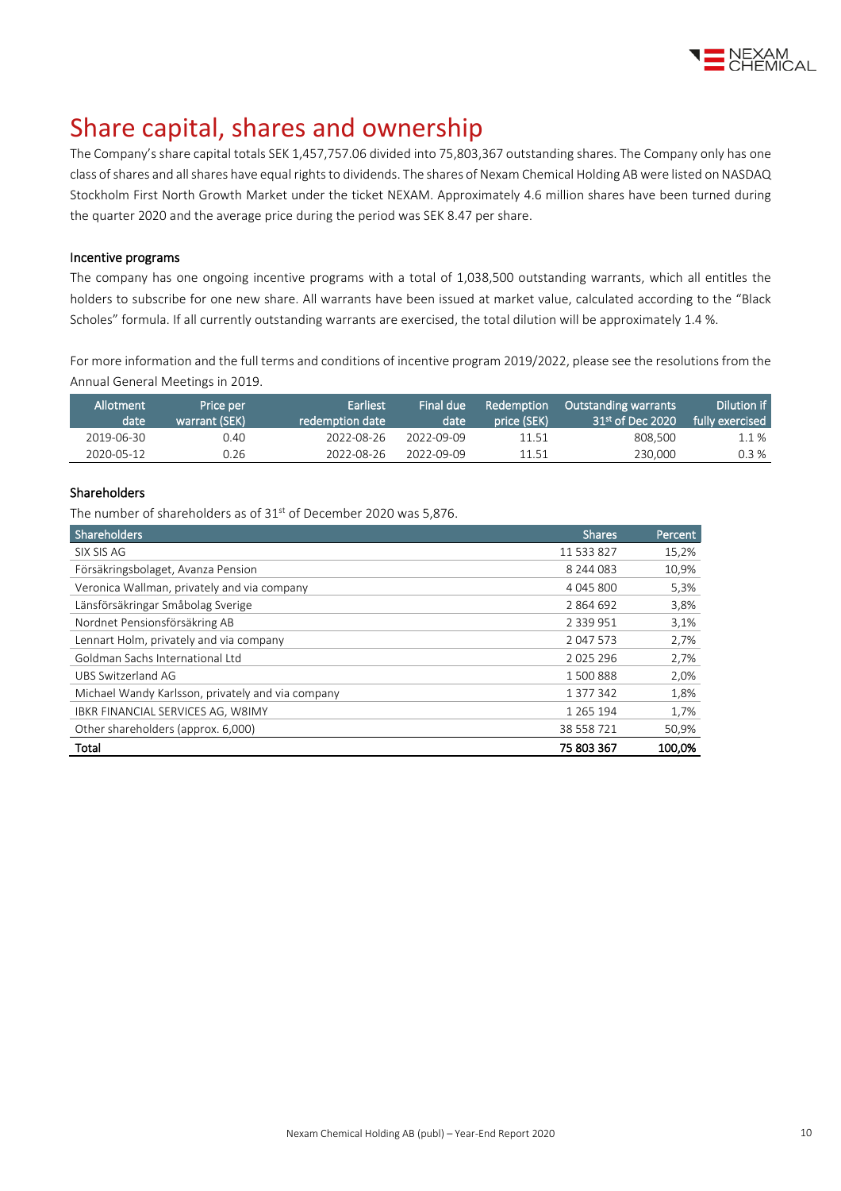

## Share capital, shares and ownership

The Company's share capital totals SEK 1,457,757.06 divided into 75,803,367 outstanding shares. The Company only has one class of shares and all shares have equal rights to dividends. The shares of Nexam Chemical Holding AB were listed on NASDAQ Stockholm First North Growth Market under the ticket NEXAM. Approximately 4.6 million shares have been turned during the quarter 2020 and the average price during the period was SEK 8.47 per share.

### Incentive programs

The company has one ongoing incentive programs with a total of 1,038,500 outstanding warrants, which all entitles the holders to subscribe for one new share. All warrants have been issued at market value, calculated according to the "Black Scholes" formula. If all currently outstanding warrants are exercised, the total dilution will be approximately 1.4 %.

For more information and the full terms and conditions of incentive program 2019/2022, please see the resolutions from the Annual General Meetings i[n 2019.](http://www.nexamchemical.com/secure/CMS/?language=en#context=epi.cms.contentdata:///245&viewsetting=active:///true)

| Allotment<br>date | Price per<br>warrant (SEK) | 'Earliest.<br>redemption date \ | Final due<br>date | Redemption<br>price (SEK) | <b>Outstanding warrants</b><br>31 <sup>st</sup> of Dec 2020 | Dilution if<br>fully exercised |
|-------------------|----------------------------|---------------------------------|-------------------|---------------------------|-------------------------------------------------------------|--------------------------------|
| 2019-06-30        | 0.40                       | 2022-08-26                      | 2022-09-09        | 11.51                     | 808.500                                                     | $1.1\%$                        |
| 2020-05-12        | 0.26                       | 2022-08-26                      | 2022-09-09        | 11.51                     | 230,000                                                     | $0.3\%$                        |

### Shareholders

The number of shareholders as of  $31<sup>st</sup>$  of December 2020 was 5,876.

| Shareholders                                      | <b>Shares</b> | Percent |
|---------------------------------------------------|---------------|---------|
| SIX SIS AG                                        | 11 533 827    | 15,2%   |
| Försäkringsbolaget, Avanza Pension                | 8 244 083     | 10,9%   |
| Veronica Wallman, privately and via company       | 4 045 800     | 5,3%    |
| Länsförsäkringar Småbolag Sverige                 | 2864692       | 3,8%    |
| Nordnet Pensionsförsäkring AB                     | 2 3 3 9 9 5 1 | 3,1%    |
| Lennart Holm, privately and via company           | 2 047 573     | 2,7%    |
| Goldman Sachs International Ltd                   | 2 0 2 5 2 9 6 | 2,7%    |
| UBS Switzerland AG                                | 1 500 888     | 2,0%    |
| Michael Wandy Karlsson, privately and via company | 1 377 342     | 1,8%    |
| IBKR FINANCIAL SERVICES AG, W8IMY                 | 1 2 6 5 1 9 4 | 1,7%    |
| Other shareholders (approx. 6,000)                | 38 558 721    | 50,9%   |
| Total                                             | 75 803 367    | 100,0%  |